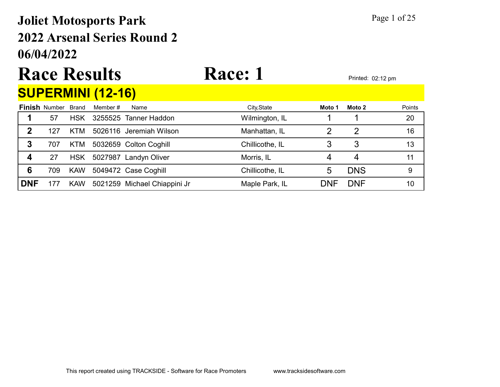### 06/04/2022 2022 Arsenal Series Round 2 Joliet Motosports Park Page 1 of 25

# Race Results Race: 1 Printed: 02:12 pm

### SUPERMINI (12-16)

|            | <b>Finish Number</b> | <b>Brand</b> | Member # | Name                         | City, State     | Moto 1 | Moto 2     | Points |
|------------|----------------------|--------------|----------|------------------------------|-----------------|--------|------------|--------|
|            | 57                   | <b>HSK</b>   |          | 3255525 Tanner Haddon        | Wilmington, IL  |        |            | 20     |
| 2          | 127                  | <b>KTM</b>   |          | 5026116 Jeremiah Wilson      | Manhattan, IL   |        |            | 16     |
| 3          | 707                  | KTM.         |          | 5032659 Colton Coghill       | Chillicothe, IL |        |            | 13     |
| 4          | 27                   | <b>HSK</b>   |          | 5027987 Landyn Oliver        | Morris, IL      |        |            |        |
| 6          | 709                  | <b>KAW</b>   |          | 5049472 Case Coghill         | Chillicothe, IL | 5      | <b>DNS</b> | 9      |
| <b>DNF</b> |                      | <b>KAW</b>   |          | 5021259 Michael Chiappini Jr | Maple Park, IL  | DNF    | <b>DNF</b> | 10     |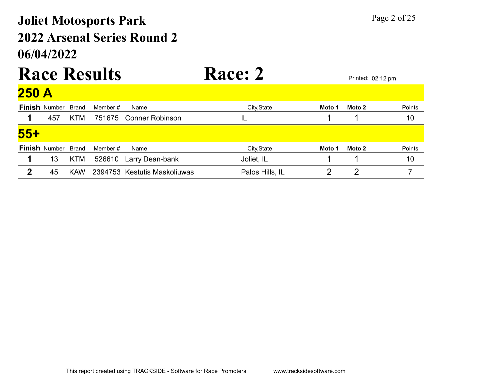### 06/04/2022 2022 Arsenal Series Round 2 Joliet Motosports Park Page 2 of 25

#### Race Results Race: 2 Printed: 02:12 pm  $250<sub>h</sub>$

| ZJU M      |                            |            |          |                              |                 |        |        |        |
|------------|----------------------------|------------|----------|------------------------------|-----------------|--------|--------|--------|
|            | <b>Finish Number Brand</b> |            | Member # | Name                         | City, State     | Moto 1 | Moto 2 | Points |
|            | 457                        | <b>KTM</b> |          | 751675 Conner Robinson       |                 |        |        | 10     |
| <u>55+</u> |                            |            |          |                              |                 |        |        |        |
|            | <b>Finish Number</b>       | Brand      | Member # | Name                         | City, State     | Moto 1 | Moto 2 | Points |
| 1          | 13                         | <b>KTM</b> | 526610   | Larry Dean-bank              | Joliet, IL      |        |        | 10     |
| 2          | 45                         | <b>KAW</b> |          | 2394753 Kestutis Maskoliuwas | Palos Hills, IL |        |        |        |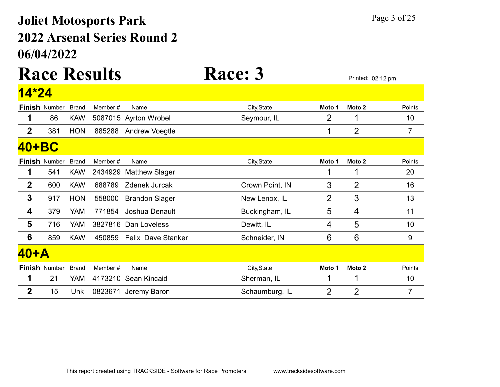### 06/04/2022 2022 Arsenal Series Round 2 Joliet Motosports Park Page 3 of 25

# Race Results Race: 3 Printed: 02:12 pm

#### **Finish** Number Brand Member # Name **City,State** City,State Moto 1 Moto 2 Points 14\*24 1 86 KAW 5087015 Ayrton Wrobel Seymour, IL 2 1 10 2 381 HON 885288 Andrew Voegtle 1 2 7 **Finish** Number Brand Member # Name **City,State** City,State Moto 1 Moto 2 Points 40+BC 1 541 KAW 2434929 Matthew Slager 1 1 1 20 2 600 KAW 688789 Zdenek Jurcak Crown Point, IN 3 2 16 3 917 HON 558000 Brandon Slager New Lenox, IL 2 3 3 13 4 379 YAM 771854 Joshua Denault Buckingham, IL 5 4 11 **5** 716 YAM 3827816 Dan Loveless Dewitt, IL 4 5 10 6 859 KAW 450859 Felix Dave Stanker Schneider, IN 6 6 6 9 **Finish** Number Brand Member # Name **City,State** City,State Moto 1 Moto 2 Points 40+A 1 21 YAM 4173210 Sean Kincaid Sherman, IL 10 1 1 2 15 Unk 0823671 Jeremy Baron Schaumburg, IL 2 2 2 7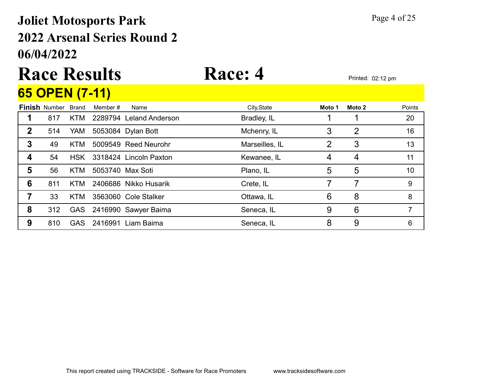### 06/04/2022 2022 Arsenal Series Round 2 Joliet Motosports Park Page 4 of 25

# Race Results Race: 4 Printed: 02:12 pm

## 65 OPEN (7-11)

|   | <u>03 UPEN (7-11)</u> |              |                  |                          |                |        |        |               |
|---|-----------------------|--------------|------------------|--------------------------|----------------|--------|--------|---------------|
|   | <b>Finish Number</b>  | <b>Brand</b> | Member #         | Name                     | City, State    | Moto 1 | Moto 2 | <b>Points</b> |
|   | 817                   | KTM          |                  | 2289794 Leland Anderson  | Bradley, IL    |        |        | 20            |
| 2 | 514                   | YAM          |                  | 5053084 Dylan Bott       | Mchenry, IL    | 3      | 2      | 16            |
| 3 | 49                    | KTM          |                  | 5009549 Reed Neurohr     | Marseilles, IL | 2      | 3      | 13            |
| 4 | 54                    | <b>HSK</b>   |                  | 3318424 Lincoln Paxton   | Kewanee, IL    | 4      | 4      | 11            |
| 5 | 56                    | <b>KTM</b>   | 5053740 Max Soti |                          | Plano, IL      | 5      | 5      | 10            |
| 6 | 811                   | KTM          |                  | 2406686 Nikko Husarik    | Crete, IL      |        | 7      | 9             |
|   | 33                    | KTM          |                  | 3563060 Cole Stalker     | Ottawa, IL     | 6      | 8      | 8             |
| 8 | 312                   |              |                  | GAS 2416990 Sawyer Baima | Seneca, IL     | 9      | 6      |               |
| 9 | 810                   | GAS          |                  | 2416991 Liam Baima       | Seneca, IL     | 8      | 9      | 6             |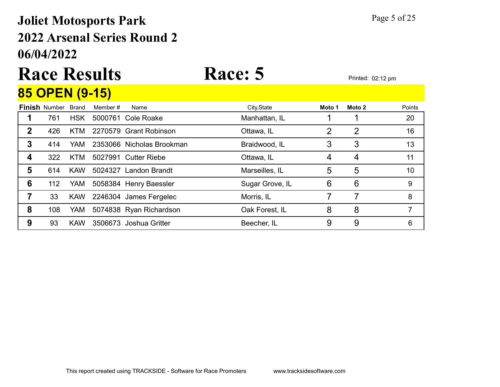#### 06/04/2022 2022 Arsenal Series Round 2 Joliet Motosports Park Page 5 of 25

# Race Results Race: 5 Printed: 02:12 pm

#### **Finish** Number Brand Member # Name **City,State Moto 1 Moto 2** Points 85 OPEN (9-15) 1 761 HSK 5000761 Cole Roake Manhattan, IL 1 1 1 20 2 426 KTM 2270579 Grant Robinson Ottawa, IL 16 2 2 3 414 YAM 2353066 Nicholas Brookman Braidwood, IL 3 3 3 13 **4** 322 KTM 5027991 Cutter Riebe **Cultation Containers** Ottawa, IL 4 4 4 11 5 614 KAW 5024327 Landon Brandt Marseilles, IL 5 5 5 10 **6** 112 YAM 5058384 Henry Baessler Sugar Grove, IL 6 6 6 9 **7** 33 KAW 2246304 James Fergelec Morris, IL 7 7 7 8 8 108 YAM 5074838 Ryan Richardson Cak Forest, IL 8 8 8 7 **9** 93 KAW 3506673 Joshua Gritter **Beecher, IL** 9 9 9 6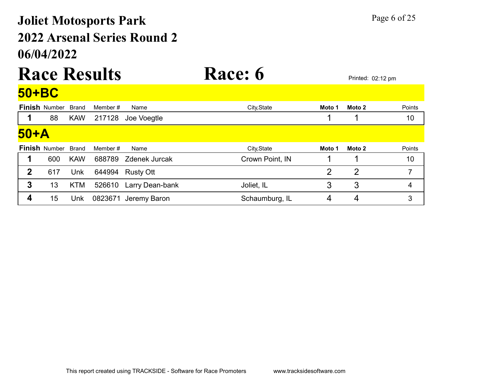### 06/04/2022 2022 Arsenal Series Round 2 Joliet Motosports Park Page 6 of 25

# Race Results Race: 6 Printed: 02:12 pm

|              | 50+BC                      |              |          |                      |                 |                |                |        |  |  |  |  |
|--------------|----------------------------|--------------|----------|----------------------|-----------------|----------------|----------------|--------|--|--|--|--|
|              | <b>Finish Number</b>       | <b>Brand</b> | Member # | Name                 | City, State     | Moto 1         | Moto 2         | Points |  |  |  |  |
|              | 88                         | <b>KAW</b>   | 217128   | Joe Voegtle          |                 |                |                | 10     |  |  |  |  |
| 50+A         |                            |              |          |                      |                 |                |                |        |  |  |  |  |
|              | <b>Finish Number Brand</b> |              | Member # | Name                 | City, State     | Moto 1         | Moto 2         | Points |  |  |  |  |
|              | 600                        | <b>KAW</b>   | 688789   | <b>Zdenek Jurcak</b> | Crown Point, IN |                |                | 10     |  |  |  |  |
| $\mathbf{2}$ | 617                        | Unk          | 644994   | <b>Rusty Ott</b>     |                 | $\overline{2}$ | $\overline{2}$ | 7      |  |  |  |  |
| 3            | 13                         | <b>KTM</b>   | 526610   | Larry Dean-bank      | Joliet, IL      | 3              | 3              | 4      |  |  |  |  |
| 4            | 15                         | Unk          | 0823671  | Jeremy Baron         | Schaumburg, IL  | 4              | 4              | 3      |  |  |  |  |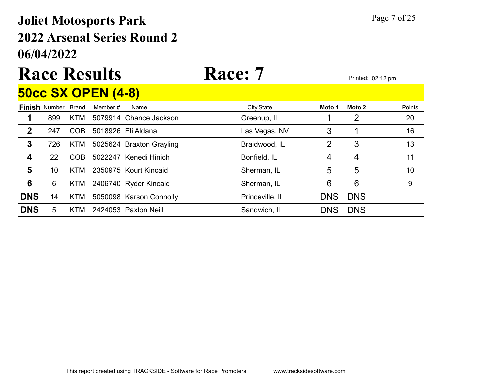### 06/04/2022 2022 Arsenal Series Round 2 Joliet Motosports Park Page 7 of 25

#### Race Results Race: 7 Printed: 02:12 pm 50cc SX OPEN (4-8)

|                  |                            |            | <u>UUUU UA UI LII (TUJ</u> |                          |                 |            |            |        |
|------------------|----------------------------|------------|----------------------------|--------------------------|-----------------|------------|------------|--------|
|                  | <b>Finish Number Brand</b> |            | Member#                    | Name                     | City, State     | Moto 1     | Moto 2     | Points |
|                  | 899                        | KTM        |                            | 5079914 Chance Jackson   | Greenup, IL     |            | 2          | 20     |
| $\mathbf 2$      | 247                        | <b>COB</b> |                            | 5018926 Eli Aldana       | Las Vegas, NV   | 3          |            | 16     |
| 3                | 726                        | KTM        |                            | 5025624 Braxton Grayling | Braidwood, IL   | 2          | 3          | 13     |
| $\boldsymbol{4}$ | 22                         | <b>COB</b> |                            | 5022247 Kenedi Hinich    | Bonfield, IL    | 4          | 4          | 11     |
| 5                | 10                         | KTM        |                            | 2350975 Kourt Kincaid    | Sherman, IL     | 5          | 5          | 10     |
| $6\phantom{1}6$  | 6                          | <b>KTM</b> |                            | 2406740 Ryder Kincaid    | Sherman, IL     | 6          | 6          | 9      |
| <b>DNS</b>       | 14                         | <b>KTM</b> |                            | 5050098 Karson Connolly  | Princeville, IL | <b>DNS</b> | <b>DNS</b> |        |
| <b>DNS</b>       | 5                          | KTM        |                            | 2424053 Paxton Neill     | Sandwich, IL    | <b>DNS</b> | <b>DNS</b> |        |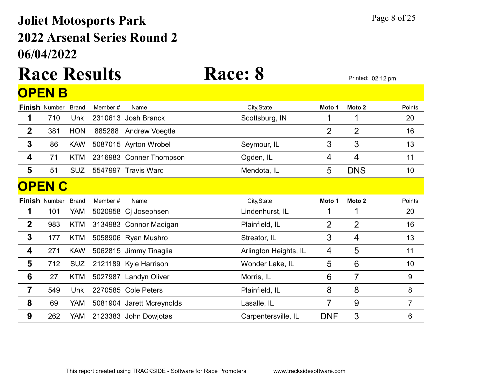### 06/04/2022 2022 Arsenal Series Round 2 Joliet Motosports Park Page 8 of 25

# Race Results Race: 8 Printed: 02:12 pm

|                | <b>OPEN B</b>        |              |          |                           |                       |                |                   |                 |
|----------------|----------------------|--------------|----------|---------------------------|-----------------------|----------------|-------------------|-----------------|
|                | <b>Finish Number</b> | <b>Brand</b> | Member # | Name                      | City, State           | Moto 1         | Moto <sub>2</sub> | Points          |
| 1              | 710                  | Unk          |          | 2310613 Josh Branck       | Scottsburg, IN        |                |                   | 20              |
| $\mathbf 2$    | 381                  | <b>HON</b>   | 885288   | <b>Andrew Voegtle</b>     |                       | $\overline{2}$ | $\overline{2}$    | 16              |
| 3              | 86                   | <b>KAW</b>   |          | 5087015 Ayrton Wrobel     | Seymour, IL           | 3              | 3                 | 13              |
| 4              | 71                   | <b>KTM</b>   |          | 2316983 Conner Thompson   | Ogden, IL             | 4              | $\overline{4}$    | 11              |
| 5              | 51                   | <b>SUZ</b>   |          | 5547997 Travis Ward       | Mendota, IL           | 5              | <b>DNS</b>        | 10 <sup>1</sup> |
|                | <b>OPEN C</b>        |              |          |                           |                       |                |                   |                 |
|                | <b>Finish Number</b> | <b>Brand</b> | Member#  | Name                      | City, State           | Moto 1         | Moto 2            | Points          |
| 1              | 101                  | YAM          | 5020958  | Cj Josephsen              | Lindenhurst, IL       |                |                   | 20              |
| $\mathbf 2$    | 983                  | <b>KTM</b>   |          | 3134983 Connor Madigan    | Plainfield, IL        | $\overline{2}$ | $\overline{2}$    | 16              |
| 3              | 177                  | <b>KTM</b>   |          | 5058906 Ryan Mushro       | Streator, IL          | 3              | $\overline{4}$    | 13              |
| 4              | 271                  | <b>KAW</b>   |          | 5062815 Jimmy Tinaglia    | Arlington Heights, IL | 4              | 5                 | 11              |
| 5              | 712                  | <b>SUZ</b>   |          | 2121189 Kyle Harrison     | Wonder Lake, IL       | 5              | 6                 | 10              |
| 6              | 27                   | <b>KTM</b>   |          | 5027987 Landyn Oliver     | Morris, IL            | 6              | $\overline{7}$    | 9               |
| $\overline{7}$ | 549                  | Unk          |          | 2270585 Cole Peters       | Plainfield, IL        | 8              | 8                 | 8               |
| 8              | 69                   | YAM          |          | 5081904 Jarett Mcreynolds | Lasalle, IL           | $\overline{7}$ | $9$               | $\overline{7}$  |
| 9              | 262                  | YAM          |          | 2123383 John Dowjotas     | Carpentersville, IL   | <b>DNF</b>     | 3                 | 6               |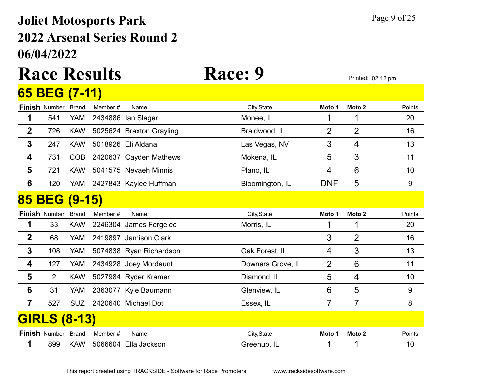#### 06/04/2022 2022 Arsenal Series Round 2 Joliet Motosports Park Page 9 of 25

# Race Results Race: 9 Printed: 02:12 pm

|                | 65 BEG (7-11)        |              |         |                          |                   |                |                   |        |
|----------------|----------------------|--------------|---------|--------------------------|-------------------|----------------|-------------------|--------|
|                | <b>Finish Number</b> | <b>Brand</b> | Member# | Name                     | City, State       | Moto 1         | Moto <sub>2</sub> | Points |
| 1              | 541                  | <b>YAM</b>   | 2434886 | lan Slager               | Monee, IL         | 1              | 1                 | 20     |
| $\mathbf 2$    | 726                  | <b>KAW</b>   |         | 5025624 Braxton Grayling | Braidwood, IL     | 2              | $\overline{2}$    | 16     |
| 3              | 247                  | <b>KAW</b>   |         | 5018926 Eli Aldana       | Las Vegas, NV     | 3              | $\overline{4}$    | 13     |
| 4              | 731                  | <b>COB</b>   |         | 2420637 Cayden Mathews   | Mokena, IL        | 5              | 3                 | 11     |
| 5              | 721                  | <b>KAW</b>   |         | 5041575 Nevaeh Minnis    | Plano, IL         | 4              | 6                 | 10     |
| 6              | 120                  | YAM          |         | 2427843 Kaylee Huffman   | Bloomington, IL   | <b>DNF</b>     | 5                 | 9      |
|                | 85 BEG (9-15)        |              |         |                          |                   |                |                   |        |
|                | <b>Finish Number</b> | <b>Brand</b> | Member# | Name                     | City, State       | Moto 1         | Moto <sub>2</sub> | Points |
| 1              | 33                   | <b>KAW</b>   |         | 2246304 James Fergelec   | Morris, IL        |                |                   | 20     |
| $\mathbf 2$    | 68                   | <b>YAM</b>   |         | 2419897 Jamison Clark    |                   | 3              | $\overline{2}$    | 16     |
| 3              | 108                  | YAM          |         | 5074838 Ryan Richardson  | Oak Forest, IL    | 4              | 3                 | 13     |
| 4              | 127                  | <b>YAM</b>   |         | 2434928 Joey Mordaunt    | Downers Grove, IL | $\overline{2}$ | 6                 | 11     |
| 5              | $\overline{2}$       | <b>KAW</b>   |         | 5027984 Ryder Kramer     | Diamond, IL       | 5              | $\overline{4}$    | 10     |
| 6              | 31                   | <b>YAM</b>   |         | 2363077 Kyle Baumann     | Glenview, IL      | 6              | 5                 | 9      |
| $\overline{7}$ | 527                  | <b>SUZ</b>   |         | 2420640 Michael Doti     | Essex, IL         | 7              | $\overline{7}$    | 8      |
|                | <b>GIRLS (8-13)</b>  |              |         |                          |                   |                |                   |        |
|                | <b>Finish Number</b> | <b>Brand</b> | Member# | Name                     | City, State       | Moto 1         | Moto <sub>2</sub> | Points |
| 1              | 899                  | <b>KAW</b>   |         | 5066604 Ella Jackson     | Greenup, IL       |                | 1                 | 10     |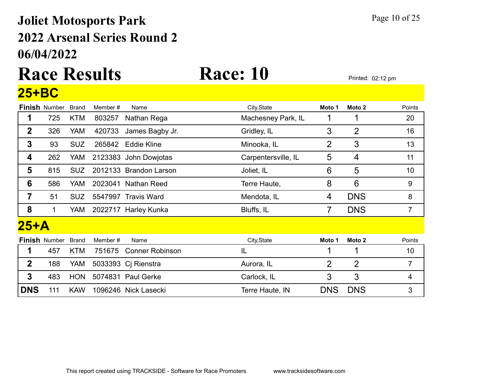### 06/04/2022 2022 Arsenal Series Round 2 Joliet Motosports Park Page 10 of 25

### Race Results Race: 10 Printed: 02:12 pm 25+BC

|              | <b>Finish Number</b> | <b>Brand</b> | Member # | Name                   | City, State         | Moto 1         | Moto 2         | Points         |
|--------------|----------------------|--------------|----------|------------------------|---------------------|----------------|----------------|----------------|
| 1            | 725                  | <b>KTM</b>   | 803257   | Nathan Rega            | Machesney Park, IL  |                |                | 20             |
| $\mathbf 2$  | 326                  | <b>YAM</b>   | 420733   | James Bagby Jr.        | Gridley, IL         | 3              | $\overline{2}$ | 16             |
| 3            | 93                   | <b>SUZ</b>   |          | 265842 Eddie Kline     | Minooka, IL         | $\overline{2}$ | 3              | 13             |
| 4            | 262                  | YAM          |          | 2123383 John Dowjotas  | Carpentersville, IL | 5              | 4              | 11             |
| 5            | 815                  | SUZ.         |          | 2012133 Brandon Larson | Joliet, IL          | 6              | 5              | 10             |
| 6            | 586                  | YAM          |          | 2023041 Nathan Reed    | Terre Haute,        | 8              | 6              | 9              |
| 7            | 51                   | <b>SUZ</b>   |          | 5547997 Travis Ward    | Mendota, IL         | 4              | <b>DNS</b>     | 8              |
| 8            | 1                    | YAM          |          | 2022717 Harley Kunka   | Bluffs, IL          | 7              | <b>DNS</b>     | $\overline{7}$ |
| $25+A$       |                      |              |          |                        |                     |                |                |                |
|              | <b>Finish Number</b> | <b>Brand</b> | Member#  | Name                   | City, State         | Moto 1         | Moto 2         | Points         |
| 1            | 457                  | <b>KTM</b>   | 751675   | <b>Conner Robinson</b> | IL                  |                |                | 10             |
| $\mathbf{2}$ | 188                  | YAM          |          | 5033393 Cj Rienstra    | Aurora, IL          | $\overline{2}$ | $\overline{2}$ | $\overline{7}$ |
| $\mathbf 3$  | 483                  | <b>HON</b>   |          | 5074831 Paul Gerke     | Carlock, IL         | 3              | 3              | 4              |
| <b>DNS</b>   | 111                  | <b>KAW</b>   |          | 1096246 Nick Lasecki   | Terre Haute, IN     | <b>DNS</b>     | <b>DNS</b>     | 3              |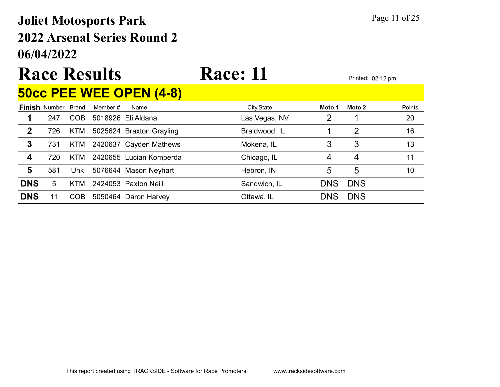### 06/04/2022 2022 Arsenal Series Round 2 Joliet Motosports Park Page 11 of 25

## Race Results Race: 11

#### 50cc PEE WEE OPEN (4-8)

|            | <b>Finish Number Brand</b> |            | Member # | Name                     | City, State   | Moto 1 | Moto 2        | Points |
|------------|----------------------------|------------|----------|--------------------------|---------------|--------|---------------|--------|
|            | 247                        | <b>COB</b> |          | 5018926 Eli Aldana       | Las Vegas, NV | າ      |               | 20     |
| 2          | 726                        | KTM        |          | 5025624 Braxton Grayling | Braidwood, IL |        | $\mathcal{P}$ | 16     |
| 3          | 731                        | KTM        |          | 2420637 Cayden Mathews   | Mokena, IL    |        | 3             | 13     |
|            | 720                        | KTM.       |          | 2420655 Lucian Komperda  | Chicago, IL   | 4      | 4             | 11     |
| 5          | 581                        | Unk        |          | 5076644 Mason Neyhart    | Hebron, IN    | 5      | 5             | 10     |
| <b>DNS</b> | 5                          | <b>KTM</b> |          | 2424053 Paxton Neill     | Sandwich, IL  | DNS    | <b>DNS</b>    |        |
| <b>DNS</b> |                            | COB        |          | 5050464 Daron Harvey     | Ottawa, IL    | DNS    | <b>DNS</b>    |        |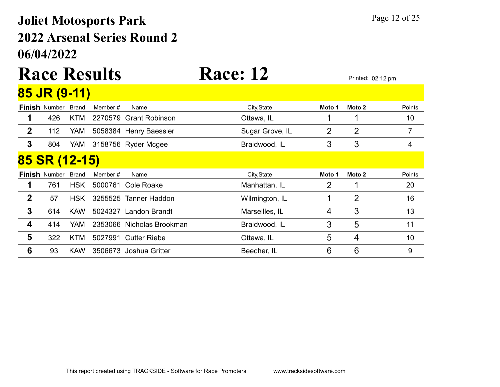### 06/04/2022 2022 Arsenal Series Round 2 Joliet Motosports Park Page 12 of 25

#### Race Results Race: 12 Printed: 02:12 pm 85 JR (9-11)

|                  | <u>UU UIN (UT I I J</u> |              |          |                           |                 |        |                |        |
|------------------|-------------------------|--------------|----------|---------------------------|-----------------|--------|----------------|--------|
|                  | <b>Finish Number</b>    | <b>Brand</b> | Member # | Name                      | City, State     | Moto 1 | Moto 2         | Points |
|                  | 426                     | <b>KTM</b>   |          | 2270579 Grant Robinson    | Ottawa, IL      |        | 1              | 10     |
| $\boldsymbol{2}$ | 112                     | YAM          |          | 5058384 Henry Baessler    | Sugar Grove, IL | 2      | $\overline{2}$ | 7      |
| 3                | 804                     | YAM          |          | 3158756 Ryder Mcgee       | Braidwood, IL   | 3      | 3              | 4      |
|                  | 85 SR (12-15)           |              |          |                           |                 |        |                |        |
|                  | <b>Finish Number</b>    | <b>Brand</b> | Member # | Name                      | City, State     | Moto 1 | Moto 2         | Points |
| 1                | 761                     | <b>HSK</b>   |          | 5000761 Cole Roake        | Manhattan, IL   | 2      |                | 20     |
| $\mathbf 2$      | 57                      | <b>HSK</b>   | 3255525  | <b>Tanner Haddon</b>      | Wilmington, IL  |        | $\overline{2}$ | 16     |
| 3                | 614                     | <b>KAW</b>   | 5024327  | <b>Landon Brandt</b>      | Marseilles, IL  | 4      | 3              | 13     |
| 4                | 414                     | <b>YAM</b>   |          | 2353066 Nicholas Brookman | Braidwood, IL   | 3      | 5              | 11     |
| 5                | 322                     | <b>KTM</b>   |          | 5027991 Cutter Riebe      | Ottawa, IL      | 5      | 4              | 10     |
| 6                | 93                      | <b>KAW</b>   |          | 3506673 Joshua Gritter    | Beecher, IL     | 6      | 6              | 9      |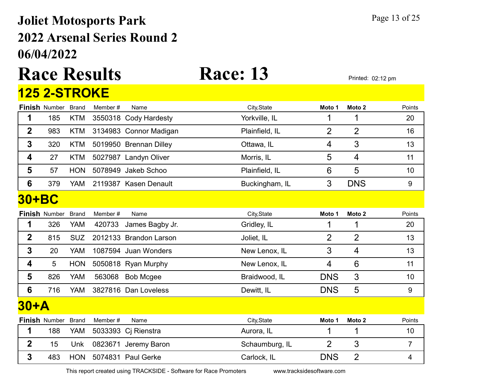#### 06/04/2022 2022 Arsenal Series Round 2 **Joliet Motosports Park Page 13 of 25**

# Race Results Race: 13 Printed: 02:12 pm

#### **Finish** Number Brand Member # Name **City,State Moto 1 Moto 2** Points 125 2-STROKE 1 185 KTM 3550318 Cody Hardesty **The Yorkville, IL** 1 1 1 20 2 983 KTM 3134983 Connor Madigan Plainfield, IL 2 2 2 16 **3** 320 KTM 5019950 Brennan Dilley **CHECK COROONER CONTENT A** 3 13 4 27 KTM 5027987 Landyn Oliver **Morris, IL** 5 4 11 **5** 57 HON 5078949 Jakeb Schoo Plainfield, IL 6 5 5 10 6 379 YAM 2119387 Kasen Denault Buckingham, IL 3 DNS 9 **Finish** Number Brand Member # Name **City,State** City,State Moto 1 Moto 2 Points 30+BC 1 326 YAM 420733 James Bagby Jr. Gridley, IL 1 1 1 20 **2** 815 SUZ 2012133 Brandon Larson Joliet, IL 2 2 2 13 **3** 20 YAM 1087594 Juan Wonders New Lenox, IL 3 4 13 4 5 HON 5050818 Ryan Murphy New Lenox, IL 4 6 11 5 826 YAM 563068 Bob Mcgee Braidwood, IL DNS 3 10 **6** 716 YAM 3827816 Dan Loveless Dewitt, IL DNS 5 9 **Finish** Number Brand Member # Name **City,State Moto 1 Moto 2** Points 30+A 1 188 YAM 5033393 Ci Rienstra 1 Aurora, IL 1 1 1 1 10 2 15 Unk 0823671 Jeremy Baron Schaumburg, IL 2 3 7

**3** 483 HON 5074831 Paul Gerke Carlock, IL DNS 2 4

This report created using TRACKSIDE - Software for Race Promoters www.tracksidesoftware.com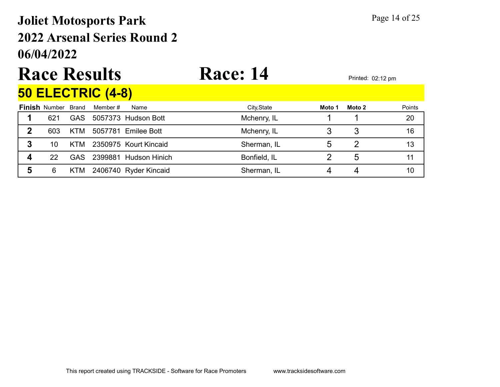### 06/04/2022 2022 Arsenal Series Round 2 Joliet Motosports Park Page 14 of 25

# Race Results Race: 14 Printed: 02:12 pm

### 50 ELECTRIC (4-8)

| <b>Finish</b> Number Brand |      | Member # | Name                      | City, State  | Moto 1 | Moto 2 | Points |
|----------------------------|------|----------|---------------------------|--------------|--------|--------|--------|
| 621                        | GAS  |          | 5057373 Hudson Bott       | Mchenry, IL  |        |        | 20     |
| 603                        | KTM  |          | 5057781 Emilee Bott       | Mchenry, IL  |        |        | 16     |
| 10                         |      |          | KTM 2350975 Kourt Kincaid | Sherman, IL  |        |        | 13     |
| 22                         | GAS. |          | 2399881 Hudson Hinich     | Bonfield, IL |        | b      |        |
| 6                          | KIM. |          | 2406740 Ryder Kincaid     | Sherman, IL  |        |        | 10     |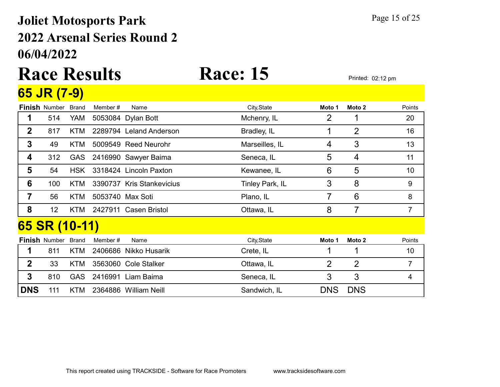### 06/04/2022 2022 Arsenal Series Round 2 Joliet Motosports Park Page 15 of 25

#### Race Results Race: 15 Printed: 02:12 pm 65 JR (7-9)

|                | $\sim$ $\sim$ $\sim$ | $\mathbf{v}$ |         |                           |                 |            |                 |                |
|----------------|----------------------|--------------|---------|---------------------------|-----------------|------------|-----------------|----------------|
|                | <b>Finish Number</b> | <b>Brand</b> | Member# | Name                      | City, State     | Moto 1     | Moto 2          | Points         |
| 1              | 514                  | YAM          |         | 5053084 Dylan Bott        | Mchenry, IL     | 2          |                 | 20             |
| $\mathbf 2$    | 817                  | KTM          |         | 2289794 Leland Anderson   | Bradley, IL     |            | $\overline{2}$  | 16             |
| $\mathbf{3}$   | 49                   | <b>KTM</b>   |         | 5009549 Reed Neurohr      | Marseilles, IL  | 4          | 3               | 13             |
| 4              | 312                  | <b>GAS</b>   |         | 2416990 Sawyer Baima      | Seneca, IL      | 5          | 4               | 11             |
| 5              | 54                   | <b>HSK</b>   |         | 3318424 Lincoln Paxton    | Kewanee, IL     | 6          | 5               | 10             |
| 6              | 100                  | <b>KTM</b>   |         | 3390737 Kris Stankevicius | Tinley Park, IL | 3          | 8               | 9              |
| $\overline{7}$ | 56                   | <b>KTM</b>   |         | 5053740 Max Soti          | Plano, IL       | 7          | $6\phantom{1}6$ | 8              |
| 8              | 12 <sub>2</sub>      | <b>KTM</b>   |         | 2427911 Casen Bristol     | Ottawa, IL      | 8          | 7               | $\overline{7}$ |
|                | 65 SR (10-11)        |              |         |                           |                 |            |                 |                |
|                | <b>Finish Number</b> | <b>Brand</b> | Member# | Name                      | City, State     | Moto 1     | Moto 2          | Points         |
| 1              | 811                  | KTM          |         | 2406686 Nikko Husarik     | Crete, IL       |            |                 | 10             |
| $\mathbf 2$    | 33                   | KTM          |         | 3563060 Cole Stalker      | Ottawa, IL      | 2          | $\overline{2}$  | $\overline{7}$ |
| 3              | 810                  | <b>GAS</b>   |         | 2416991 Liam Baima        | Seneca, IL      | 3          | 3               | 4              |
| <b>DNS</b>     | 111                  | KTM.         |         | 2364886 William Neill     | Sandwich, IL    | <b>DNS</b> | <b>DNS</b>      |                |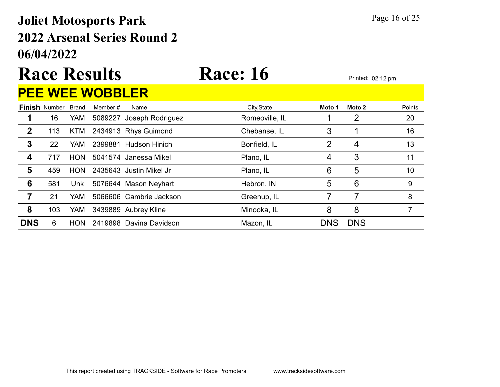#### 06/04/2022 2022 Arsenal Series Round 2 Joliet Motosports Park Page 16 of 25

# Race Results Race: 16 Printed: 02:12 pm

### PEE WEE WOBBLER

|            | <b>Finish Number</b> | <b>Brand</b> | Member # | Name                     | City, State    | Moto 1         | Moto 2         | Points |
|------------|----------------------|--------------|----------|--------------------------|----------------|----------------|----------------|--------|
|            | 16                   | <b>YAM</b>   |          | 5089227 Joseph Rodriguez | Romeoville, IL |                | 2              | 20     |
| 2          | 113                  | KTM          |          | 2434913 Rhys Guimond     | Chebanse, IL   | 3              |                | 16     |
| 3          | 22                   | YAM.         |          | 2399881 Hudson Hinich    | Bonfield, IL   | $\overline{2}$ | $\overline{4}$ | 13     |
| 4          | 717                  | <b>HON</b>   |          | 5041574 Janessa Mikel    | Plano, IL      | 4              | 3              | 11     |
| 5          | 459                  | <b>HON</b>   |          | 2435643 Justin Mikel Jr  | Plano, IL      | 6              | 5              | 10     |
| 6          | 581                  | Unk          |          | 5076644 Mason Neyhart    | Hebron, IN     | 5              | 6              | 9      |
| 7          | 21                   | YAM.         |          | 5066606 Cambrie Jackson  | Greenup, IL    |                |                | 8      |
| 8          | 103                  | YAM          |          | 3439889 Aubrey Kline     | Minooka, IL    | 8              | 8              |        |
| <b>DNS</b> | 6                    | <b>HON</b>   |          | 2419898 Davina Davidson  | Mazon, IL      | <b>DNS</b>     | <b>DNS</b>     |        |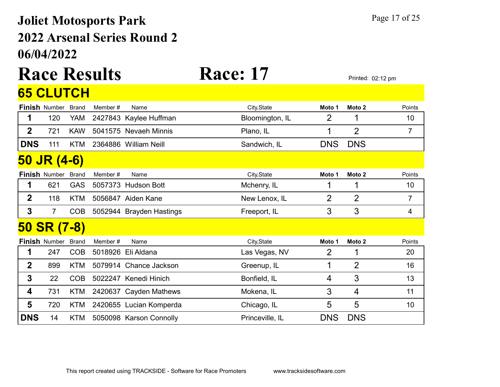### 06/04/2022 2022 Arsenal Series Round 2 Joliet Motosports Park Page 17 of 25

# Race Results Race: 17 Printed: 02:12 pm

|                | 65 CLUTCH            |              |         |                          |                 |            |                   |        |
|----------------|----------------------|--------------|---------|--------------------------|-----------------|------------|-------------------|--------|
|                | <b>Finish Number</b> | <b>Brand</b> | Member# | Name                     | City, State     | Moto 1     | Moto 2            | Points |
| 1              | 120                  | YAM          |         | 2427843 Kaylee Huffman   | Bloomington, IL | 2          |                   | 10     |
| $\mathbf{2}$   | 721                  | <b>KAW</b>   |         | 5041575 Nevaeh Minnis    | Plano, IL       | 1          | $\overline{2}$    | 7      |
| <b>DNS</b>     | 111                  | <b>KTM</b>   |         | 2364886 William Neill    | Sandwich, IL    | <b>DNS</b> | <b>DNS</b>        |        |
|                | 50 JR (4-6)          |              |         |                          |                 |            |                   |        |
|                | <b>Finish Number</b> | <b>Brand</b> | Member# | Name                     | City, State     | Moto 1     | Moto <sub>2</sub> | Points |
| 1              | 621                  | <b>GAS</b>   |         | 5057373 Hudson Bott      | Mchenry, IL     |            |                   | 10     |
| $\overline{2}$ | 118                  | <b>KTM</b>   |         | 5056847 Aiden Kane       | New Lenox, IL   | 2          | $\overline{2}$    | 7      |
| 3              | 7                    | <b>COB</b>   |         | 5052944 Brayden Hastings | Freeport, IL    | 3          | 3                 | 4      |
| <b>50</b>      | <b>SR (7-8)</b>      |              |         |                          |                 |            |                   |        |
|                | <b>Finish Number</b> | <b>Brand</b> | Member# | Name                     | City, State     | Moto 1     | Moto 2            | Points |
| 1              | 247                  | <b>COB</b>   |         | 5018926 Eli Aldana       | Las Vegas, NV   | 2          | 1                 | 20     |
| $\mathbf 2$    | 899                  | <b>KTM</b>   |         | 5079914 Chance Jackson   | Greenup, IL     | 1          | $\overline{2}$    | 16     |
| 3              | 22                   | <b>COB</b>   |         | 5022247 Kenedi Hinich    | Bonfield, IL    | 4          | 3                 | 13     |
| 4              | 731                  | <b>KTM</b>   |         | 2420637 Cayden Mathews   | Mokena, IL      | 3          | 4                 | 11     |
| 5              | 720                  | <b>KTM</b>   |         | 2420655 Lucian Komperda  | Chicago, IL     | 5          | 5                 | 10     |
| <b>DNS</b>     | 14                   | <b>KTM</b>   |         | 5050098 Karson Connolly  | Princeville, IL | <b>DNS</b> | <b>DNS</b>        |        |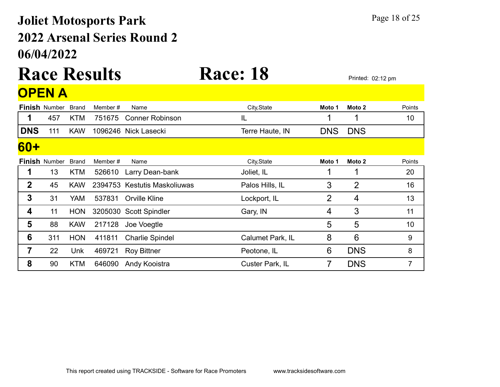### 06/04/2022 2022 Arsenal Series Round 2 Joliet Motosports Park Page 18 of 25

### Race Results Race: 18 Printed: 02:12 pm **OPEN A**

|            | <b>Finish Number</b> | <b>Brand</b> | Member # | Name                         | City, State      | Moto 1         | Moto 2         | Points         |
|------------|----------------------|--------------|----------|------------------------------|------------------|----------------|----------------|----------------|
| 1          | 457                  | <b>KTM</b>   | 751675   | <b>Conner Robinson</b>       | IL               | ◀              | 1              | 10             |
| <b>DNS</b> | 111                  | <b>KAW</b>   |          | 1096246 Nick Lasecki         | Terre Haute, IN  | <b>DNS</b>     | <b>DNS</b>     |                |
| <b>60+</b> |                      |              |          |                              |                  |                |                |                |
|            | <b>Finish Number</b> | <b>Brand</b> | Member # | Name                         | City, State      | Moto 1         | Moto 2         | Points         |
|            | 13                   | <b>KTM</b>   | 526610   | Larry Dean-bank              | Joliet, IL       | 1              | 1              | 20             |
| 2          | 45                   | <b>KAW</b>   |          | 2394753 Kestutis Maskoliuwas | Palos Hills, IL  | 3              | $\overline{2}$ | 16             |
| 3          | 31                   | YAM          | 537831   | <b>Orville Kline</b>         | Lockport, IL     | $\overline{2}$ | 4              | 13             |
| 4          | 11                   | <b>HON</b>   |          | 3205030 Scott Spindler       | Gary, IN         | 4              | 3              | 11             |
| 5          | 88                   | <b>KAW</b>   | 217128   | Joe Voegtle                  |                  | 5              | 5              | 10             |
| 6          | 311                  | <b>HON</b>   | 411811   | <b>Charlie Spindel</b>       | Calumet Park, IL | 8              | 6              | 9              |
| 7          | 22                   | Unk          | 469721   | <b>Roy Bittner</b>           | Peotone, IL      | 6              | <b>DNS</b>     | 8              |
| 8          | 90                   | <b>KTM</b>   | 646090   | Andy Kooistra                | Custer Park, IL  | 7              | <b>DNS</b>     | $\overline{7}$ |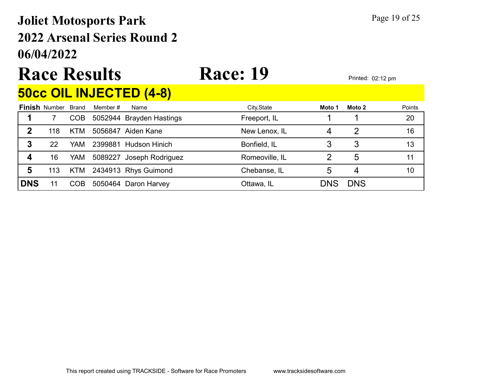### 06/04/2022 2022 Arsenal Series Round 2 Joliet Motosports Park Page 19 of 25

## Race Results Race: 19 Printed: 02:12 pm

#### 50cc OIL INJECTED (4-8)

|            | <b>Finish Number</b> | Brand      | Member # | Name                     | City, State    | Moto 1 | Moto 2     | Points |
|------------|----------------------|------------|----------|--------------------------|----------------|--------|------------|--------|
|            |                      | COB        |          | 5052944 Brayden Hastings | Freeport, IL   |        |            | 20     |
| 2          | 118                  | <b>KTM</b> |          | 5056847 Aiden Kane       | New Lenox, IL  |        |            | 16     |
| 3          | 22                   | YAM.       |          | 2399881 Hudson Hinich    | Bonfield, IL   |        |            | 13     |
| 4          | 16                   | YAM        |          | 5089227 Joseph Rodriguez | Romeoville, IL |        | 5          | 11     |
| 5          | 113                  |            |          | KTM 2434913 Rhys Guimond | Chebanse, IL   |        |            | 10     |
| <b>DNS</b> |                      | <b>COB</b> |          | 5050464 Daron Harvey     | Ottawa, IL     | DNS    | <b>DNS</b> |        |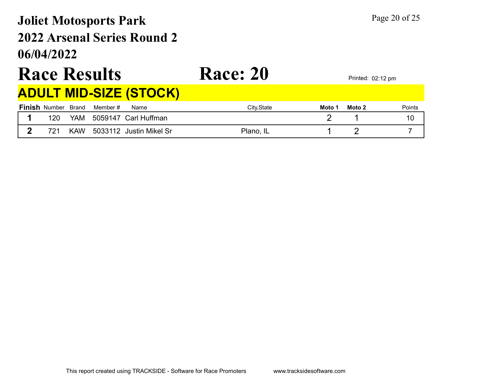### 06/04/2022 2022 Arsenal Series Round 2 Joliet Motosports Park Page 20 of 25

## Race Results Race: 20 Printed: 02:12 pm

#### ADULT MID-SIZE (STOCK)

| <b>Finish Number Brand</b> |            | Member # | Name                    | City, State<br>Moto 1 | Moto 2 | Points |
|----------------------------|------------|----------|-------------------------|-----------------------|--------|--------|
| 120                        | <b>YAM</b> |          | 5059147 Carl Huffman    |                       |        | 10     |
| 721                        | <b>KAW</b> |          | 5033112 Justin Mikel Sr | Plano, IL             |        |        |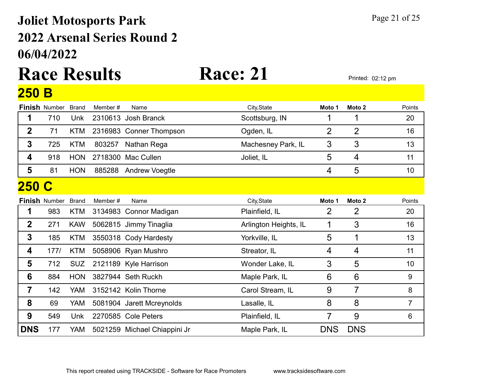### 06/04/2022 2022 Arsenal Series Round 2 Joliet Motosports Park Page 21 of 25

### Race Results Race: 21 Printed: 02:12 pm 250 B

|                  | <b>Finish Number</b> | <b>Brand</b> | Member# | Name                         | City, State           | Moto 1         | Moto 2          | Points         |
|------------------|----------------------|--------------|---------|------------------------------|-----------------------|----------------|-----------------|----------------|
| 1                | 710                  | Unk          |         | 2310613 Josh Branck          | Scottsburg, IN        | 1              | 1               | 20             |
| $\mathbf{2}$     | 71                   | <b>KTM</b>   |         | 2316983 Conner Thompson      | Ogden, IL             | $\overline{2}$ | $\overline{2}$  | 16             |
| $\mathbf{3}$     | 725                  | <b>KTM</b>   | 803257  | Nathan Rega                  | Machesney Park, IL    | 3              | 3               | 13             |
| 4                | 918                  | <b>HON</b>   |         | 2718300 Mac Cullen           | Joliet, IL            | 5              | $\overline{4}$  | 11             |
| 5                | 81                   | <b>HON</b>   | 885288  | <b>Andrew Voegtle</b>        |                       | 4              | 5               | 10             |
| <b>250</b>       | $\mathbf C$          |              |         |                              |                       |                |                 |                |
|                  | <b>Finish Number</b> | <b>Brand</b> | Member# | Name                         | City, State           | Moto 1         | Moto 2          | Points         |
| 1                | 983                  | <b>KTM</b>   |         | 3134983 Connor Madigan       | Plainfield, IL        | $\overline{2}$ | $\overline{2}$  | 20             |
| $\boldsymbol{2}$ | 271                  | <b>KAW</b>   |         | 5062815 Jimmy Tinaglia       | Arlington Heights, IL | 1              | 3               | 16             |
| $\mathbf{3}$     | 185                  | <b>KTM</b>   |         | 3550318 Cody Hardesty        | Yorkville, IL         | 5              | 1               | 13             |
| 4                | 177/                 | <b>KTM</b>   |         | 5058906 Ryan Mushro          | Streator, IL          | $\overline{4}$ | $\overline{4}$  | 11             |
| 5                | 712                  | <b>SUZ</b>   |         | 2121189 Kyle Harrison        | Wonder Lake, IL       | 3              | 5               | 10             |
| 6                | 884                  | <b>HON</b>   |         | 3827944 Seth Ruckh           | Maple Park, IL        | 6              | $6\phantom{1}6$ | 9              |
| $\overline{7}$   | 142                  | <b>YAM</b>   |         | 3152142 Kolin Thorne         | Carol Stream, IL      | 9              | $\overline{7}$  | 8              |
| 8                | 69                   | YAM          |         | 5081904 Jarett Mcreynolds    | Lasalle, IL           | 8              | 8               | $\overline{7}$ |
| 9                | 549                  | Unk          |         | 2270585 Cole Peters          | Plainfield, IL        | 7              | 9               | 6              |
| <b>DNS</b>       | 177                  | YAM          |         | 5021259 Michael Chiappini Jr | Maple Park, IL        | <b>DNS</b>     | <b>DNS</b>      |                |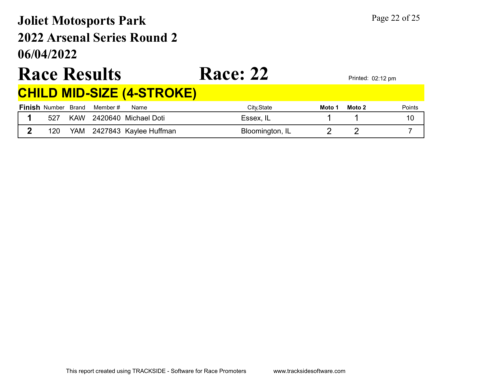### 06/04/2022 2022 Arsenal Series Round 2 Joliet Motosports Park Page 22 of 25

## Race Results Race: 22 Printed: 02:12 pm

#### CHILD MID-SIZE (4-STROKE)

|     |     | <b>Finish</b> Number Brand Member# | Name                     | Citv.State      | Moto 1 | Moto 2 | Points |
|-----|-----|------------------------------------|--------------------------|-----------------|--------|--------|--------|
| 527 |     |                                    | KAW 2420640 Michael Doti | Essex, IL       |        |        |        |
| 120 | YAM |                                    | 2427843  Kaylee Huffman  | Bloomington, IL |        |        |        |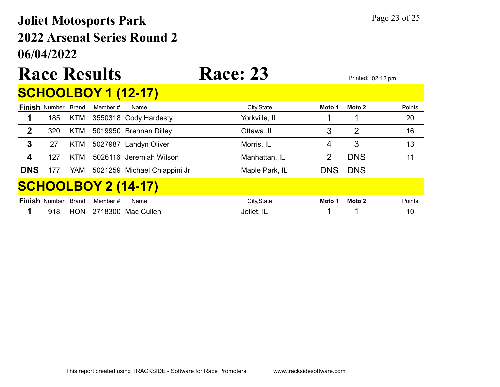### 06/04/2022 2022 Arsenal Series Round 2 Joliet Motosports Park Page 23 of 25

# Race Results Race: 23 Printed: 02:12 pm

### SCHOOLBOY 1 (12-17)

|                            | <b>Finish Number Brand</b> |            | Member # | Name                         | City, State    | Moto 1     | Moto 2     | Points |  |  |
|----------------------------|----------------------------|------------|----------|------------------------------|----------------|------------|------------|--------|--|--|
|                            | 185                        | <b>KTM</b> |          | 3550318 Cody Hardesty        | Yorkville, IL  |            |            | 20     |  |  |
| 2                          | 320                        | <b>KTM</b> |          | 5019950 Brennan Dilley       | Ottawa, IL     | 3          | 2          | 16     |  |  |
| $\mathbf{3}$               | 27                         | <b>KTM</b> |          | 5027987 Landyn Oliver        | Morris, IL     | 4          | 3          | 13     |  |  |
|                            | 127                        | KTM        |          | 5026116 Jeremiah Wilson      | Manhattan, IL  | 2          | <b>DNS</b> | 11     |  |  |
| <b>DNS</b>                 | 177                        | YAM        |          | 5021259 Michael Chiappini Jr | Maple Park, IL | <b>DNS</b> | <b>DNS</b> |        |  |  |
| <b>SCHOOLBOY 2 (14-17)</b> |                            |            |          |                              |                |            |            |        |  |  |
|                            | <b>Finish Number Brand</b> |            | Member # | Name                         | City, State    | Moto 1     | Moto 2     | Points |  |  |
|                            | 918                        | <b>HON</b> |          | 2718300 Mac Cullen           | Joliet, IL     |            |            | 10     |  |  |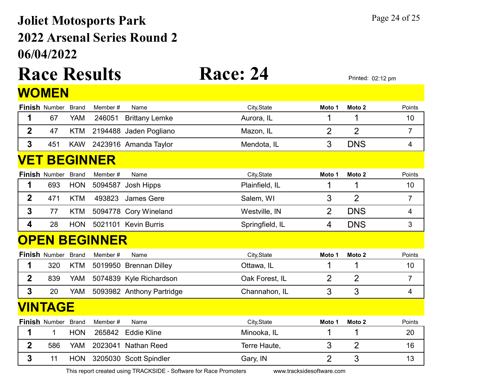### 06/04/2022 2022 Arsenal Series Round 2 Joliet Motosports Park Page 24 of 25

# Race Results Race: 24 Printed: 02:12 pm

|                | WOMEN                |              |                      |                           |                 |                |                   |                |
|----------------|----------------------|--------------|----------------------|---------------------------|-----------------|----------------|-------------------|----------------|
|                | <b>Finish Number</b> | <b>Brand</b> | Member#              | Name                      | City, State     | Moto 1         | Moto <sub>2</sub> | Points         |
| 1              | 67                   | YAM          | 246051               | <b>Brittany Lemke</b>     | Aurora, IL      | 1              | 1                 | 10             |
| $\overline{2}$ | 47                   | <b>KTM</b>   |                      | 2194488 Jaden Pogliano    | Mazon, IL       | $\overline{2}$ | $\overline{2}$    | $\overline{7}$ |
| 3              | 451                  | <b>KAW</b>   |                      | 2423916 Amanda Taylor     | Mendota, IL     | 3              | <b>DNS</b>        | 4              |
|                |                      |              | <b>VET BEGINNER</b>  |                           |                 |                |                   |                |
|                | <b>Finish Number</b> | <b>Brand</b> | Member#              | Name                      | City, State     | Moto 1         | Moto <sub>2</sub> | Points         |
| 1              | 693                  | <b>HON</b>   | 5094587              | Josh Hipps                | Plainfield, IL  | 1              | 1                 | 10             |
| $\overline{2}$ | 471                  | <b>KTM</b>   | 493823               | <b>James Gere</b>         | Salem, WI       | 3              | $\overline{2}$    | $\overline{7}$ |
| $\mathbf 3$    | 77                   | <b>KTM</b>   |                      | 5094778 Cory Wineland     | Westville, IN   | $\overline{2}$ | <b>DNS</b>        | 4              |
| 4              | 28                   | <b>HON</b>   | 5021101              | <b>Kevin Burris</b>       | Springfield, IL | 4              | <b>DNS</b>        | 3              |
|                |                      |              | <b>OPEN BEGINNER</b> |                           |                 |                |                   |                |
|                | <b>Finish Number</b> | <b>Brand</b> | Member#              | Name                      | City, State     | Moto 1         | Moto <sub>2</sub> | Points         |
| 1              | 320                  | KTM          | 5019950              | <b>Brennan Dilley</b>     | Ottawa, IL      | 1              | 1                 | 10             |
| $\overline{2}$ | 839                  | <b>YAM</b>   |                      | 5074839 Kyle Richardson   | Oak Forest, IL  | $\overline{2}$ | $\overline{2}$    | $\overline{7}$ |
| $\overline{3}$ | 20                   | <b>YAM</b>   |                      | 5093982 Anthony Partridge | Channahon, IL   | 3              | 3                 | 4              |
|                | <b>VINTAGE</b>       |              |                      |                           |                 |                |                   |                |
|                | <b>Finish Number</b> | <b>Brand</b> | Member#              | Name                      | City, State     | Moto 1         | Moto <sub>2</sub> | Points         |
| 1              | 1                    | <b>HON</b>   | 265842               | <b>Eddie Kline</b>        | Minooka, IL     | 1              | 1                 | 20             |
| $\overline{2}$ | 586                  | <b>YAM</b>   | 2023041              | <b>Nathan Reed</b>        | Terre Haute,    | 3              | $\overline{2}$    | 16             |
| 3              | 11                   | <b>HON</b>   |                      | 3205030 Scott Spindler    | Gary, IN        | $\overline{2}$ | 3                 | 13             |

This report created using TRACKSIDE - Software for Race Promoters www.tracksidesoftware.com